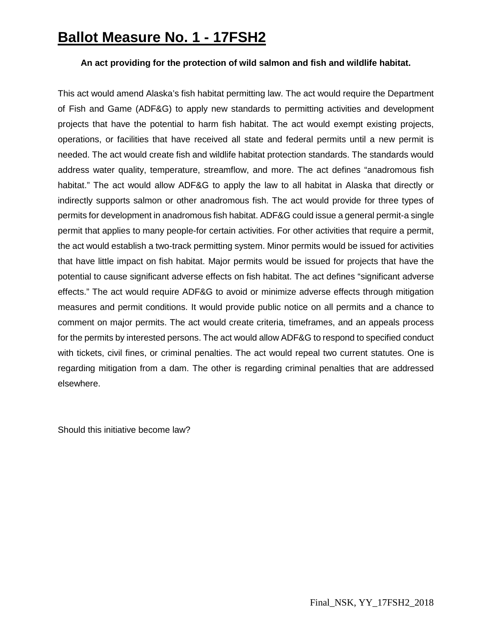## **Ballot Measure No. 1 - 17FSH2**

## **An act providing for the protection of wild salmon and fish and wildlife habitat.**

This act would amend Alaska's fish habitat permitting law. The act would require the Department of Fish and Game (ADF&G) to apply new standards to permitting activities and development projects that have the potential to harm fish habitat. The act would exempt existing projects, operations, or facilities that have received all state and federal permits until a new permit is needed. The act would create fish and wildlife habitat protection standards. The standards would address water quality, temperature, streamflow, and more. The act defines "anadromous fish habitat." The act would allow ADF&G to apply the law to all habitat in Alaska that directly or indirectly supports salmon or other anadromous fish. The act would provide for three types of permits for development in anadromous fish habitat. ADF&G could issue a general permit-a single permit that applies to many people-for certain activities. For other activities that require a permit, the act would establish a two-track permitting system. Minor permits would be issued for activities that have little impact on fish habitat. Major permits would be issued for projects that have the potential to cause significant adverse effects on fish habitat. The act defines "significant adverse effects." The act would require ADF&G to avoid or minimize adverse effects through mitigation measures and permit conditions. It would provide public notice on all permits and a chance to comment on major permits. The act would create criteria, timeframes, and an appeals process for the permits by interested persons. The act would allow ADF&G to respond to specified conduct with tickets, civil fines, or criminal penalties. The act would repeal two current statutes. One is regarding mitigation from a dam. The other is regarding criminal penalties that are addressed elsewhere.

Should this initiative become law?